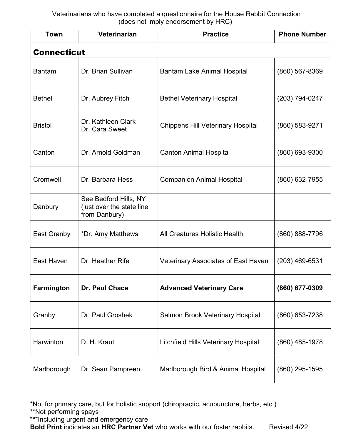| <b>Town</b>        | <b>Veterinarian</b>                                                 | <b>Practice</b>                             | <b>Phone Number</b> |  |  |
|--------------------|---------------------------------------------------------------------|---------------------------------------------|---------------------|--|--|
| <b>Connecticut</b> |                                                                     |                                             |                     |  |  |
| <b>Bantam</b>      | Dr. Brian Sullivan                                                  | <b>Bantam Lake Animal Hospital</b>          | $(860)$ 567-8369    |  |  |
| <b>Bethel</b>      | Dr. Aubrey Fitch                                                    | <b>Bethel Veterinary Hospital</b>           | $(203)$ 794-0247    |  |  |
| <b>Bristol</b>     | Dr. Kathleen Clark<br>Dr. Cara Sweet                                | <b>Chippens Hill Veterinary Hospital</b>    | (860) 583-9271      |  |  |
| Canton             | Dr. Arnold Goldman                                                  | <b>Canton Animal Hospital</b>               | (860) 693-9300      |  |  |
| Cromwell           | Dr. Barbara Hess                                                    | <b>Companion Animal Hospital</b>            | (860) 632-7955      |  |  |
| Danbury            | See Bedford Hills, NY<br>(just over the state line<br>from Danbury) |                                             |                     |  |  |
| East Granby        | *Dr. Amy Matthews                                                   | <b>All Creatures Holistic Health</b>        | (860) 888-7796      |  |  |
| East Haven         | Dr. Heather Rife                                                    | <b>Veterinary Associates of East Haven</b>  | $(203)$ 469-6531    |  |  |
| Farmington         | Dr. Paul Chace                                                      | <b>Advanced Veterinary Care</b>             | (860) 677-0309      |  |  |
| Granby             | Dr. Paul Groshek                                                    | <b>Salmon Brook Veterinary Hospital</b>     | (860) 653-7238      |  |  |
| Harwinton          | D. H. Kraut                                                         | <b>Litchfield Hills Veterinary Hospital</b> | (860) 485-1978      |  |  |
| Marlborough        | Dr. Sean Pampreen                                                   | Marlborough Bird & Animal Hospital          | (860) 295-1595      |  |  |

\*Not for primary care, but for holistic support (chiropractic, acupuncture, herbs, etc.)

\*\*Not performing spays

\*\*\*Including urgent and emergency care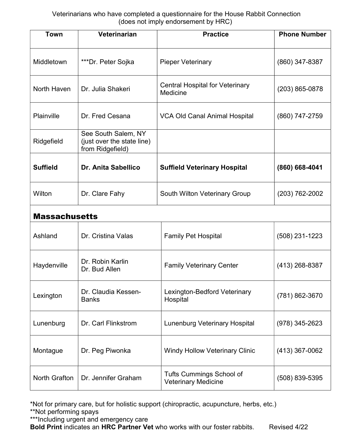| <b>Town</b>          | Veterinarian                                                          | <b>Practice</b>                                               | <b>Phone Number</b> |
|----------------------|-----------------------------------------------------------------------|---------------------------------------------------------------|---------------------|
| Middletown           | ***Dr. Peter Sojka                                                    | <b>Pieper Veterinary</b>                                      | (860) 347-8387      |
| North Haven          | Dr. Julia Shakeri                                                     | <b>Central Hospital for Veterinary</b><br>Medicine            | $(203) 865 - 0878$  |
| Plainville           | Dr. Fred Cesana                                                       | <b>VCA Old Canal Animal Hospital</b>                          | $(860)$ 747-2759    |
| Ridgefield           | See South Salem, NY<br>(just over the state line)<br>from Ridgefield) |                                                               |                     |
| <b>Suffield</b>      | <b>Dr. Anita Sabellico</b>                                            | <b>Suffield Veterinary Hospital</b>                           | (860) 668-4041      |
| Wilton               | Dr. Clare Fahy                                                        | <b>South Wilton Veterinary Group</b>                          | $(203) 762 - 2002$  |
| <b>Massachusetts</b> |                                                                       |                                                               |                     |
| Ashland              | Dr. Cristina Valas                                                    | <b>Family Pet Hospital</b>                                    | $(508)$ 231-1223    |
| Haydenville          | Dr. Robin Karlin<br>Dr. Bud Allen                                     | <b>Family Veterinary Center</b>                               | $(413)$ 268-8387    |
| Lexington            | Dr. Claudia Kessen-<br><b>Banks</b>                                   | Lexington-Bedford Veterinary<br>Hospital                      | (781) 862-3670      |
| Lunenburg            | Dr. Carl Flinkstrom                                                   | <b>Lunenburg Veterinary Hospital</b>                          | $(978)$ 345-2623    |
| Montague             | Dr. Peg Piwonka                                                       | <b>Windy Hollow Veterinary Clinic</b>                         | (413) 367-0062      |
| North Grafton        | Dr. Jennifer Graham                                                   | <b>Tufts Cummings School of</b><br><b>Veterinary Medicine</b> | (508) 839-5395      |

\*Not for primary care, but for holistic support (chiropractic, acupuncture, herbs, etc.) \*\*Not performing spays

\*\*\*Including urgent and emergency care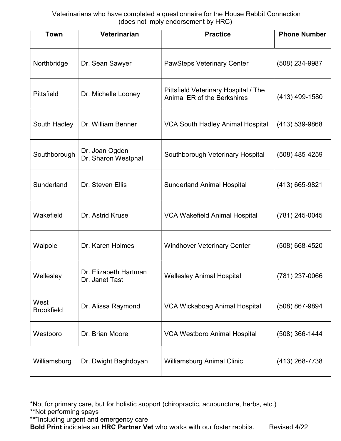| <b>Town</b>               | Veterinarian                            | <b>Practice</b>                                                            | <b>Phone Number</b> |
|---------------------------|-----------------------------------------|----------------------------------------------------------------------------|---------------------|
| Northbridge               | Dr. Sean Sawyer                         | <b>PawSteps Veterinary Center</b>                                          | (508) 234-9987      |
| Pittsfield                | Dr. Michelle Looney                     | Pittsfield Veterinary Hospital / The<br><b>Animal ER of the Berkshires</b> | $(413)$ 499-1580    |
| South Hadley              | Dr. William Benner                      | <b>VCA South Hadley Animal Hospital</b>                                    | $(413) 539 - 9868$  |
| Southborough              | Dr. Joan Ogden<br>Dr. Sharon Westphal   | Southborough Veterinary Hospital                                           | $(508)$ 485-4259    |
| Sunderland                | Dr. Steven Ellis                        | <b>Sunderland Animal Hospital</b>                                          | $(413)$ 665-9821    |
| Wakefield                 | Dr. Astrid Kruse                        | <b>VCA Wakefield Animal Hospital</b>                                       | $(781)$ 245-0045    |
| Walpole                   | Dr. Karen Holmes                        | <b>Windhover Veterinary Center</b>                                         | $(508) 668 - 4520$  |
| Wellesley                 | Dr. Elizabeth Hartman<br>Dr. Janet Tast | <b>Wellesley Animal Hospital</b>                                           | $(781)$ 237-0066    |
| West<br><b>Brookfield</b> | Dr. Alissa Raymond                      | <b>VCA Wickaboag Animal Hospital</b>                                       | (508) 867-9894      |
| Westboro                  | Dr. Brian Moore                         | <b>VCA Westboro Animal Hospital</b>                                        | $(508)$ 366-1444    |
| Williamsburg              | Dr. Dwight Baghdoyan                    | <b>Williamsburg Animal Clinic</b>                                          | (413) 268-7738      |

\*Not for primary care, but for holistic support (chiropractic, acupuncture, herbs, etc.)

\*\*Not performing spays

\*\*\*Including urgent and emergency care